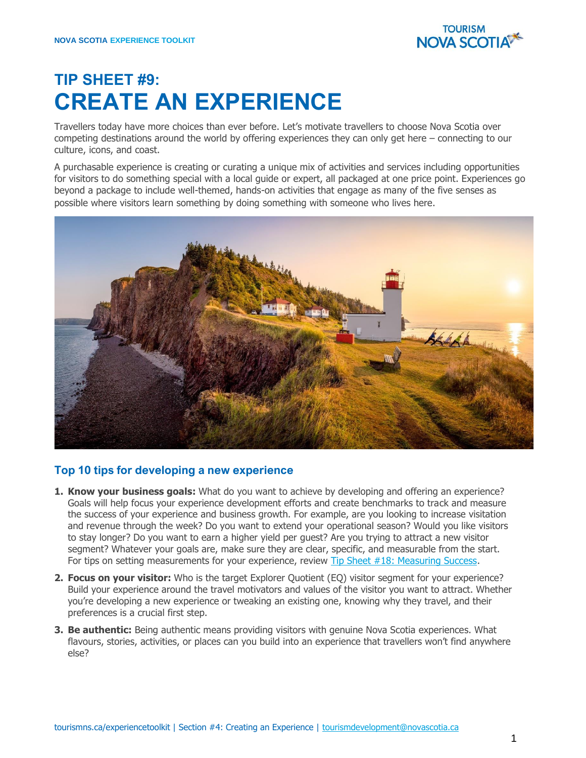

## **TIP SHEET #9: CREATE AN EXPERIENCE**

Travellers today have more choices than ever before. Let's motivate travellers to choose Nova Scotia over competing destinations around the world by offering experiences they can only get here – connecting to our culture, icons, and coast.

A purchasable experience is creating or curating a unique mix of activities and services including opportunities for visitors to do something special with a local guide or expert, all packaged at one price point. Experiences go beyond a package to include well-themed, hands-on activities that engage as many of the five senses as possible where visitors learn something by doing something with someone who lives here.



## **Top 10 tips for developing a new experience**

- **1. Know your business goals:** What do you want to achieve by developing and offering an experience? Goals will help focus your experience development efforts and create benchmarks to track and measure the success of your experience and business growth. For example, are you looking to increase visitation and revenue through the week? Do you want to extend your operational season? Would you like visitors to stay longer? Do you want to earn a higher yield per guest? Are you trying to attract a new visitor segment? Whatever your goals are, make sure they are clear, specific, and measurable from the start. For tips on setting measurements for your experience, review [Tip Sheet #18: Measuring Success.](https://tourismns.ca/sites/default/files/Tip-Sheet-17-Measuring-Success.pdf)
- **2. Focus on your visitor:** Who is the target Explorer Quotient (EQ) visitor segment for your experience? Build your experience around the travel motivators and values of the visitor you want to attract. Whether you're developing a new experience or tweaking an existing one, knowing why they travel, and their preferences is a crucial first step.
- **3. Be authentic:** Being authentic means providing visitors with genuine Nova Scotia experiences. What flavours, stories, activities, or places can you build into an experience that travellers won't find anywhere else?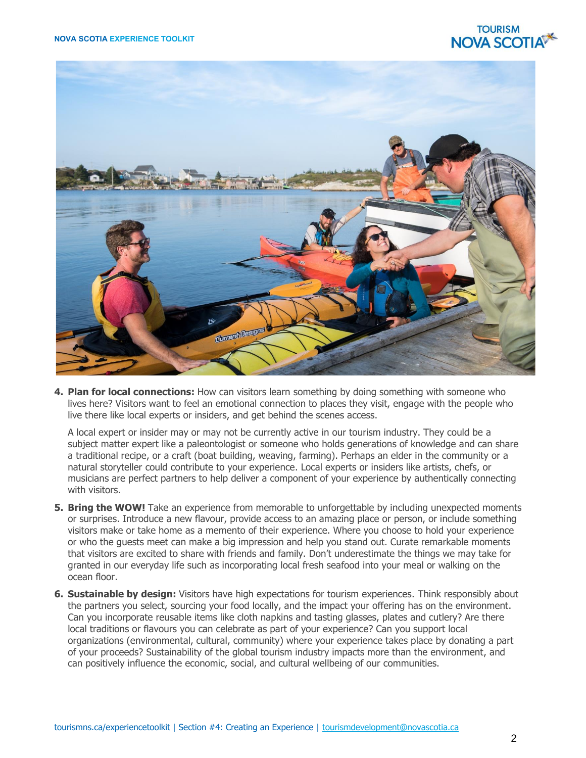## **TOURISM NOVA SCOTIA**



**4. Plan for local connections:** How can visitors learn something by doing something with someone who lives here? Visitors want to feel an emotional connection to places they visit, engage with the people who live there like local experts or insiders, and get behind the scenes access.

A local expert or insider may or may not be currently active in our tourism industry. They could be a subject matter expert like a paleontologist or someone who holds generations of knowledge and can share a traditional recipe, or a craft (boat building, weaving, farming). Perhaps an elder in the community or a natural storyteller could contribute to your experience. Local experts or insiders like artists, chefs, or musicians are perfect partners to help deliver a component of your experience by authentically connecting with visitors.

- **5. Bring the WOW!** Take an experience from memorable to unforgettable by including unexpected moments or surprises. Introduce a new flavour, provide access to an amazing place or person, or include something visitors make or take home as a memento of their experience. Where you choose to hold your experience or who the guests meet can make a big impression and help you stand out. Curate remarkable moments that visitors are excited to share with friends and family. Don't underestimate the things we may take for granted in our everyday life such as incorporating local fresh seafood into your meal or walking on the ocean floor.
- **6. Sustainable by design:** Visitors have high expectations for tourism experiences. Think responsibly about the partners you select, sourcing your food locally, and the impact your offering has on the environment. Can you incorporate reusable items like cloth napkins and tasting glasses, plates and cutlery? Are there local traditions or flavours you can celebrate as part of your experience? Can you support local organizations (environmental, cultural, community) where your experience takes place by donating a part of your proceeds? Sustainability of the global tourism industry impacts more than the environment, and can positively influence the economic, social, and cultural wellbeing of our communities.